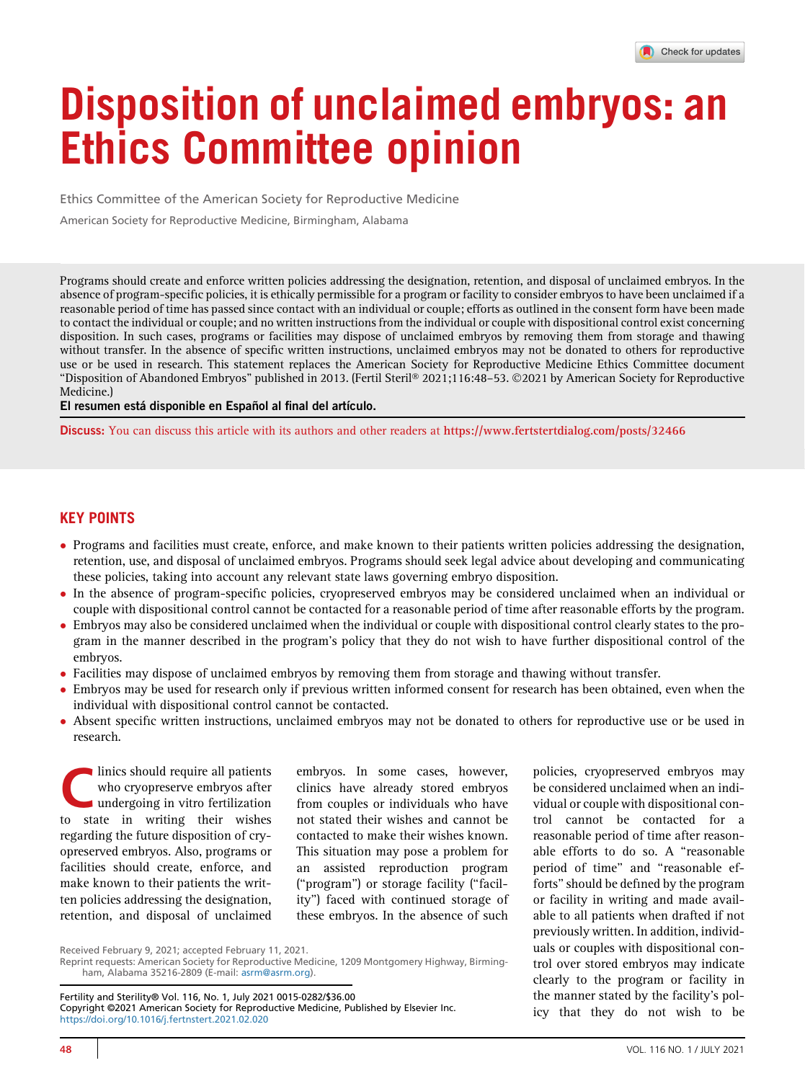# Disposition of unclaimed embryos: an Ethics Committee opinion

Ethics Committee of the American Society for Reproductive Medicine

American Society for Reproductive Medicine, Birmingham, Alabama

Programs should create and enforce written policies addressing the designation, retention, and disposal of unclaimed embryos. In the absence of program-specific policies, it is ethically permissible for a program or facility to consider embryos to have been unclaimed if a reasonable period of time has passed since contact with an individual or couple; efforts as outlined in the consent form have been made to contact the individual or couple; and no written instructions from the individual or couple with dispositional control exist concerning disposition. In such cases, programs or facilities may dispose of unclaimed embryos by removing them from storage and thawing without transfer. In the absence of specific written instructions, unclaimed embryos may not be donated to others for reproductive use or be used in research. This statement replaces the American Society for Reproductive Medicine Ethics Committee document ''Disposition of Abandoned Embryos'' published in 2013. (Fertil Steril 2021;116:48–53. 2021 by American Society for Reproductive Medicine.)

El resumen está disponible en Español al final del artículo.

Discuss: You can discuss this article with its authors and other readers at <https://www.fertstertdialog.com/posts/32466>

# KEY POINTS

- Programs and facilities must create, enforce, and make known to their patients written policies addressing the designation, retention, use, and disposal of unclaimed embryos. Programs should seek legal advice about developing and communicating these policies, taking into account any relevant state laws governing embryo disposition.
- In the absence of program-specific policies, cryopreserved embryos may be considered unclaimed when an individual or couple with dispositional control cannot be contacted for a reasonable period of time after reasonable efforts by the program.
- Embryos may also be considered unclaimed when the individual or couple with dispositional control clearly states to the program in the manner described in the program's policy that they do not wish to have further dispositional control of the embryos.
- Facilities may dispose of unclaimed embryos by removing them from storage and thawing without transfer.<br>• Embryos may be used for research only if previous written informed consent for research has been obtained.
- Embryos may be used for research only if previous written informed consent for research has been obtained, even when the individual with dispositional control cannot be contacted.
- Absent specific written instructions, unclaimed embryos may not be donated to others for reproductive use or be used in research.

linics should require all patients who cryopreserve embryos after undergoing in vitro fertilization to state in writing their wishes regarding the future disposition of cryopreserved embryos. Also, programs or facilities should create, enforce, and make known to their patients the written policies addressing the designation, retention, and disposal of unclaimed

embryos. In some cases, however, clinics have already stored embryos from couples or individuals who have not stated their wishes and cannot be contacted to make their wishes known. This situation may pose a problem for an assisted reproduction program (''program'') or storage facility (''facility'') faced with continued storage of these embryos. In the absence of such

policies, cryopreserved embryos may be considered unclaimed when an individual or couple with dispositional control cannot be contacted for a reasonable period of time after reasonable efforts to do so. A ''reasonable period of time'' and ''reasonable efforts''should be defined by the program or facility in writing and made available to all patients when drafted if not previously written. In addition, individuals or couples with dispositional control over stored embryos may indicate clearly to the program or facility in the manner stated by the facility's policy that they do not wish to be

Fertility and Sterility® Vol. 116, No. 1, July 2021 0015-0282/\$36.00 Copyright ©2021 American Society for Reproductive Medicine, Published by Elsevier Inc. <https://doi.org/10.1016/j.fertnstert.2021.02.020>

Received February 9, 2021; accepted February 11, 2021.

Reprint requests: American Society for Reproductive Medicine, 1209 Montgomery Highway, Birmingham, Alabama 35216-2809 (E-mail: [asrm@asrm.org](mailto:asrm@asrm.org)).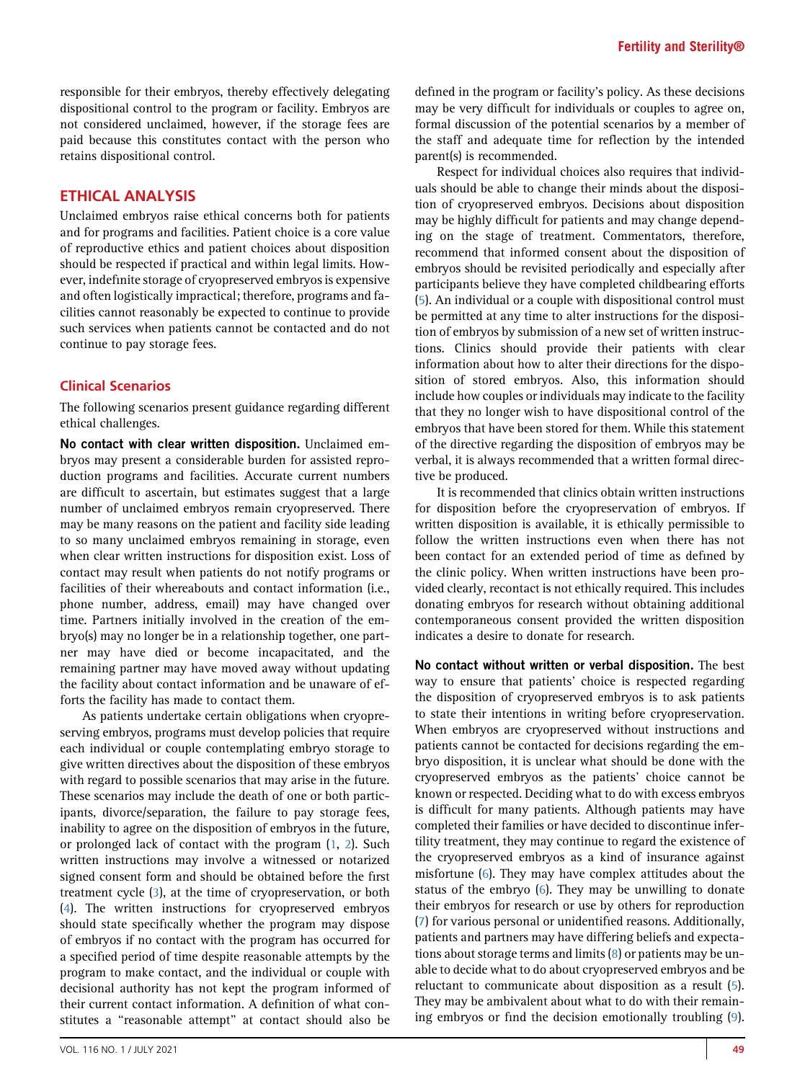responsible for their embryos, thereby effectively delegating dispositional control to the program or facility. Embryos are not considered unclaimed, however, if the storage fees are paid because this constitutes contact with the person who retains dispositional control.

# ETHICAL ANALYSIS

Unclaimed embryos raise ethical concerns both for patients and for programs and facilities. Patient choice is a core value of reproductive ethics and patient choices about disposition should be respected if practical and within legal limits. However, indefinite storage of cryopreserved embryos is expensive and often logistically impractical; therefore, programs and facilities cannot reasonably be expected to continue to provide such services when patients cannot be contacted and do not continue to pay storage fees.

# Clinical Scenarios

The following scenarios present guidance regarding different ethical challenges.

No contact with clear written disposition. Unclaimed embryos may present a considerable burden for assisted reproduction programs and facilities. Accurate current numbers are difficult to ascertain, but estimates suggest that a large number of unclaimed embryos remain cryopreserved. There may be many reasons on the patient and facility side leading to so many unclaimed embryos remaining in storage, even when clear written instructions for disposition exist. Loss of contact may result when patients do not notify programs or facilities of their whereabouts and contact information (i.e., phone number, address, email) may have changed over time. Partners initially involved in the creation of the embryo(s) may no longer be in a relationship together, one partner may have died or become incapacitated, and the remaining partner may have moved away without updating the facility about contact information and be unaware of efforts the facility has made to contact them.

As patients undertake certain obligations when cryopreserving embryos, programs must develop policies that require each individual or couple contemplating embryo storage to give written directives about the disposition of these embryos with regard to possible scenarios that may arise in the future. These scenarios may include the death of one or both participants, divorce/separation, the failure to pay storage fees, inability to agree on the disposition of embryos in the future, or prolonged lack of contact with the program [\(1,](#page-3-0) [2](#page-3-1)). Such written instructions may involve a witnessed or notarized signed consent form and should be obtained before the first treatment cycle [\(3](#page-3-2)), at the time of cryopreservation, or both [\(4](#page-3-3)). The written instructions for cryopreserved embryos should state specifically whether the program may dispose of embryos if no contact with the program has occurred for a specified period of time despite reasonable attempts by the program to make contact, and the individual or couple with decisional authority has not kept the program informed of their current contact information. A definition of what constitutes a ''reasonable attempt'' at contact should also be

defined in the program or facility's policy. As these decisions may be very difficult for individuals or couples to agree on, formal discussion of the potential scenarios by a member of the staff and adequate time for reflection by the intended parent(s) is recommended.

Respect for individual choices also requires that individuals should be able to change their minds about the disposition of cryopreserved embryos. Decisions about disposition may be highly difficult for patients and may change depending on the stage of treatment. Commentators, therefore, recommend that informed consent about the disposition of embryos should be revisited periodically and especially after participants believe they have completed childbearing efforts ([5](#page-3-4)). An individual or a couple with dispositional control must be permitted at any time to alter instructions for the disposition of embryos by submission of a new set of written instructions. Clinics should provide their patients with clear information about how to alter their directions for the disposition of stored embryos. Also, this information should include how couples or individuals may indicate to the facility that they no longer wish to have dispositional control of the embryos that have been stored for them. While this statement of the directive regarding the disposition of embryos may be verbal, it is always recommended that a written formal directive be produced.

It is recommended that clinics obtain written instructions for disposition before the cryopreservation of embryos. If written disposition is available, it is ethically permissible to follow the written instructions even when there has not been contact for an extended period of time as defined by the clinic policy. When written instructions have been provided clearly, recontact is not ethically required. This includes donating embryos for research without obtaining additional contemporaneous consent provided the written disposition indicates a desire to donate for research.

No contact without written or verbal disposition. The best way to ensure that patients' choice is respected regarding the disposition of cryopreserved embryos is to ask patients to state their intentions in writing before cryopreservation. When embryos are cryopreserved without instructions and patients cannot be contacted for decisions regarding the embryo disposition, it is unclear what should be done with the cryopreserved embryos as the patients' choice cannot be known or respected. Deciding what to do with excess embryos is difficult for many patients. Although patients may have completed their families or have decided to discontinue infertility treatment, they may continue to regard the existence of the cryopreserved embryos as a kind of insurance against misfortune [\(6\)](#page-3-5). They may have complex attitudes about the status of the embryo ([6\)](#page-3-5). They may be unwilling to donate their embryos for research or use by others for reproduction ([7](#page-3-6)) for various personal or unidentified reasons. Additionally, patients and partners may have differing beliefs and expectations about storage terms and limits ([8\)](#page-3-7) or patients may be unable to decide what to do about cryopreserved embryos and be reluctant to communicate about disposition as a result [\(5](#page-3-4)). They may be ambivalent about what to do with their remaining embryos or find the decision emotionally troubling [\(9](#page-3-8)).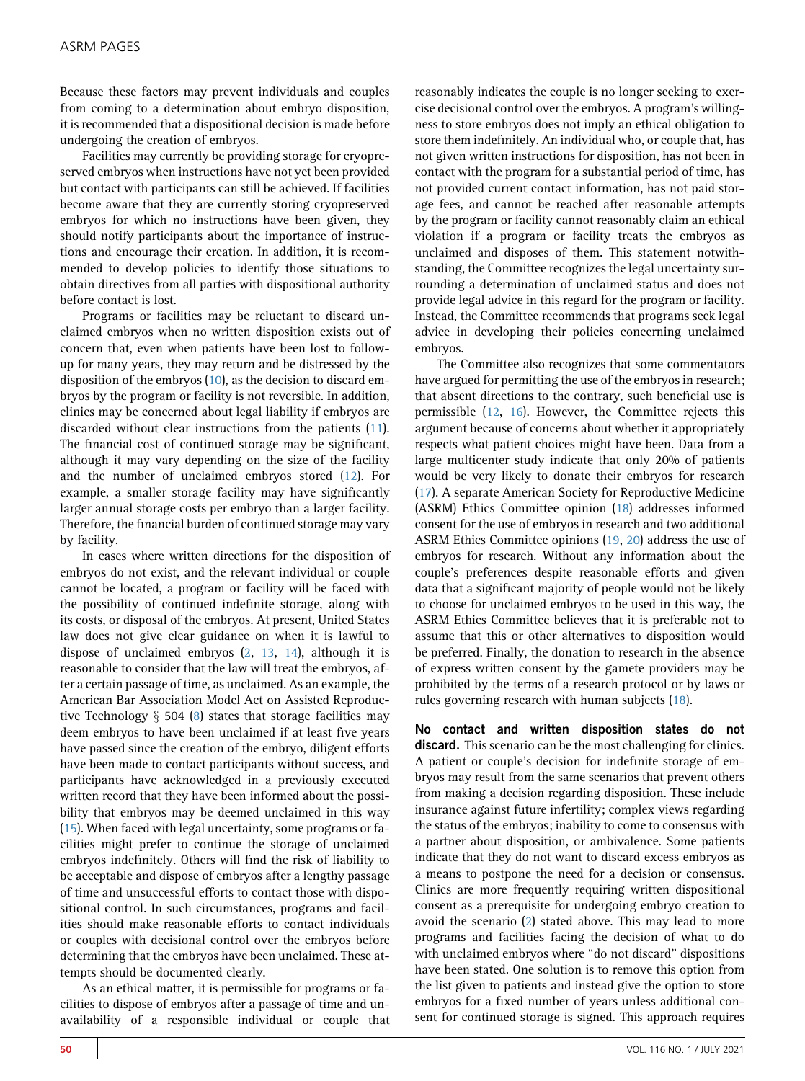Because these factors may prevent individuals and couples from coming to a determination about embryo disposition, it is recommended that a dispositional decision is made before undergoing the creation of embryos.

Facilities may currently be providing storage for cryopreserved embryos when instructions have not yet been provided but contact with participants can still be achieved. If facilities become aware that they are currently storing cryopreserved embryos for which no instructions have been given, they should notify participants about the importance of instructions and encourage their creation. In addition, it is recommended to develop policies to identify those situations to obtain directives from all parties with dispositional authority before contact is lost.

Programs or facilities may be reluctant to discard unclaimed embryos when no written disposition exists out of concern that, even when patients have been lost to followup for many years, they may return and be distressed by the disposition of the embryos [\(10\)](#page-3-9), as the decision to discard embryos by the program or facility is not reversible. In addition, clinics may be concerned about legal liability if embryos are discarded without clear instructions from the patients ([11](#page-3-10)). The financial cost of continued storage may be significant, although it may vary depending on the size of the facility and the number of unclaimed embryos stored [\(12\)](#page-3-11). For example, a smaller storage facility may have significantly larger annual storage costs per embryo than a larger facility. Therefore, the financial burden of continued storage may vary by facility.

In cases where written directions for the disposition of embryos do not exist, and the relevant individual or couple cannot be located, a program or facility will be faced with the possibility of continued indefinite storage, along with its costs, or disposal of the embryos. At present, United States law does not give clear guidance on when it is lawful to dispose of unclaimed embryos ([2,](#page-3-1) [13](#page-3-12), [14](#page-3-13)), although it is reasonable to consider that the law will treat the embryos, after a certain passage of time, as unclaimed. As an example, the American Bar Association Model Act on Assisted Reproductive Technology  $\S$  504 [\(8](#page-3-7)) states that storage facilities may deem embryos to have been unclaimed if at least five years have passed since the creation of the embryo, diligent efforts have been made to contact participants without success, and participants have acknowledged in a previously executed written record that they have been informed about the possibility that embryos may be deemed unclaimed in this way [\(15](#page-3-14)). When faced with legal uncertainty, some programs or facilities might prefer to continue the storage of unclaimed embryos indefinitely. Others will find the risk of liability to be acceptable and dispose of embryos after a lengthy passage of time and unsuccessful efforts to contact those with dispositional control. In such circumstances, programs and facilities should make reasonable efforts to contact individuals or couples with decisional control over the embryos before determining that the embryos have been unclaimed. These attempts should be documented clearly.

As an ethical matter, it is permissible for programs or facilities to dispose of embryos after a passage of time and unavailability of a responsible individual or couple that reasonably indicates the couple is no longer seeking to exercise decisional control over the embryos. A program's willingness to store embryos does not imply an ethical obligation to store them indefinitely. An individual who, or couple that, has not given written instructions for disposition, has not been in contact with the program for a substantial period of time, has not provided current contact information, has not paid storage fees, and cannot be reached after reasonable attempts by the program or facility cannot reasonably claim an ethical violation if a program or facility treats the embryos as unclaimed and disposes of them. This statement notwithstanding, the Committee recognizes the legal uncertainty surrounding a determination of unclaimed status and does not provide legal advice in this regard for the program or facility. Instead, the Committee recommends that programs seek legal advice in developing their policies concerning unclaimed embryos.

The Committee also recognizes that some commentators have argued for permitting the use of the embryos in research; that absent directions to the contrary, such beneficial use is permissible ([12,](#page-3-11) [16](#page-4-0)). However, the Committee rejects this argument because of concerns about whether it appropriately respects what patient choices might have been. Data from a large multicenter study indicate that only 20% of patients would be very likely to donate their embryos for research ([17](#page-4-1)). A separate American Society for Reproductive Medicine (ASRM) Ethics Committee opinion ([18](#page-4-2)) addresses informed consent for the use of embryos in research and two additional ASRM Ethics Committee opinions ([19,](#page-4-3) [20](#page-4-4)) address the use of embryos for research. Without any information about the couple's preferences despite reasonable efforts and given data that a significant majority of people would not be likely to choose for unclaimed embryos to be used in this way, the ASRM Ethics Committee believes that it is preferable not to assume that this or other alternatives to disposition would be preferred. Finally, the donation to research in the absence of express written consent by the gamete providers may be prohibited by the terms of a research protocol or by laws or rules governing research with human subjects [\(18](#page-4-2)).

No contact and written disposition states do not discard. This scenario can be the most challenging for clinics. A patient or couple's decision for indefinite storage of embryos may result from the same scenarios that prevent others from making a decision regarding disposition. These include insurance against future infertility; complex views regarding the status of the embryos; inability to come to consensus with a partner about disposition, or ambivalence. Some patients indicate that they do not want to discard excess embryos as a means to postpone the need for a decision or consensus. Clinics are more frequently requiring written dispositional consent as a prerequisite for undergoing embryo creation to avoid the scenario [\(2\)](#page-3-1) stated above. This may lead to more programs and facilities facing the decision of what to do with unclaimed embryos where ''do not discard'' dispositions have been stated. One solution is to remove this option from the list given to patients and instead give the option to store embryos for a fixed number of years unless additional consent for continued storage is signed. This approach requires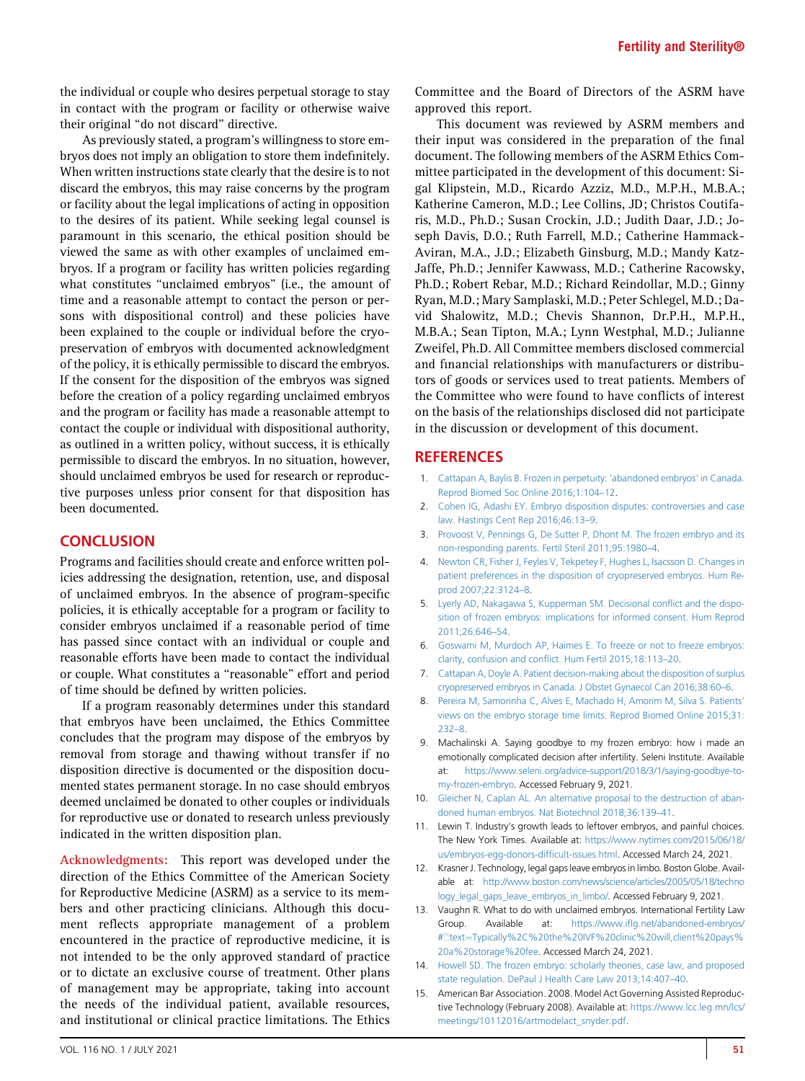the individual or couple who desires perpetual storage to stay in contact with the program or facility or otherwise waive their original ''do not discard'' directive.

As previously stated, a program's willingness to store embryos does not imply an obligation to store them indefinitely. When written instructions state clearly that the desire is to not discard the embryos, this may raise concerns by the program or facility about the legal implications of acting in opposition to the desires of its patient. While seeking legal counsel is paramount in this scenario, the ethical position should be viewed the same as with other examples of unclaimed embryos. If a program or facility has written policies regarding what constitutes "unclaimed embryos" (i.e., the amount of time and a reasonable attempt to contact the person or persons with dispositional control) and these policies have been explained to the couple or individual before the cryopreservation of embryos with documented acknowledgment of the policy, it is ethically permissible to discard the embryos. If the consent for the disposition of the embryos was signed before the creation of a policy regarding unclaimed embryos and the program or facility has made a reasonable attempt to contact the couple or individual with dispositional authority, as outlined in a written policy, without success, it is ethically permissible to discard the embryos. In no situation, however, should unclaimed embryos be used for research or reproductive purposes unless prior consent for that disposition has been documented.

#### **CONCLUSION**

Programs and facilities should create and enforce written policies addressing the designation, retention, use, and disposal of unclaimed embryos. In the absence of program-specific policies, it is ethically acceptable for a program or facility to consider embryos unclaimed if a reasonable period of time has passed since contact with an individual or couple and reasonable efforts have been made to contact the individual or couple. What constitutes a ''reasonable'' effort and period of time should be defined by written policies.

If a program reasonably determines under this standard that embryos have been unclaimed, the Ethics Committee concludes that the program may dispose of the embryos by removal from storage and thawing without transfer if no disposition directive is documented or the disposition documented states permanent storage. In no case should embryos deemed unclaimed be donated to other couples or individuals for reproductive use or donated to research unless previously indicated in the written disposition plan.

Acknowledgments: This report was developed under the direction of the Ethics Committee of the American Society for Reproductive Medicine (ASRM) as a service to its members and other practicing clinicians. Although this document reflects appropriate management of a problem encountered in the practice of reproductive medicine, it is not intended to be the only approved standard of practice or to dictate an exclusive course of treatment. Other plans of management may be appropriate, taking into account the needs of the individual patient, available resources, and institutional or clinical practice limitations. The Ethics

Committee and the Board of Directors of the ASRM have approved this report.

This document was reviewed by ASRM members and their input was considered in the preparation of the final document. The following members of the ASRM Ethics Committee participated in the development of this document: Sigal Klipstein, M.D., Ricardo Azziz, M.D., M.P.H., M.B.A.; Katherine Cameron, M.D.; Lee Collins, JD; Christos Coutifaris, M.D., Ph.D.; Susan Crockin, J.D.; Judith Daar, J.D.; Joseph Davis, D.O.; Ruth Farrell, M.D.; Catherine Hammack-Aviran, M.A., J.D.; Elizabeth Ginsburg, M.D.; Mandy Katz-Jaffe, Ph.D.; Jennifer Kawwass, M.D.; Catherine Racowsky, Ph.D.; Robert Rebar, M.D.; Richard Reindollar, M.D.; Ginny Ryan, M.D.; Mary Samplaski, M.D.; Peter Schlegel, M.D.; David Shalowitz, M.D.; Chevis Shannon, Dr.P.H., M.P.H., M.B.A.; Sean Tipton, M.A.; Lynn Westphal, M.D.; Julianne Zweifel, Ph.D. All Committee members disclosed commercial and financial relationships with manufacturers or distributors of goods or services used to treat patients. Members of the Committee who were found to have conflicts of interest on the basis of the relationships disclosed did not participate in the discussion or development of this document.

### **REFERENCES**

- <span id="page-3-0"></span>1. [Cattapan A, Baylis B. Frozen in perpetuity: 'abandoned embryos' in Canada.](http://refhub.elsevier.com/S0015-0282(21)00138-2/sref1) [Reprod Biomed Soc Online 2016;1:104](http://refhub.elsevier.com/S0015-0282(21)00138-2/sref1)–12.
- <span id="page-3-1"></span>2. [Cohen IG, Adashi EY. Embryo disposition disputes: controversies and case](http://refhub.elsevier.com/S0015-0282(21)00138-2/sref2) [law. Hastings Cent Rep 2016;46:13](http://refhub.elsevier.com/S0015-0282(21)00138-2/sref2)–9.
- <span id="page-3-2"></span>3. [Provoost V, Pennings G, De Sutter P, Dhont M. The frozen embryo and its](http://refhub.elsevier.com/S0015-0282(21)00138-2/sref3) [non-responding parents. Fertil Steril 2011;95:1980](http://refhub.elsevier.com/S0015-0282(21)00138-2/sref3)–4.
- <span id="page-3-3"></span>4. [Newton CR, Fisher J, Feyles V, Tekpetey F, Hughes L, Isacsson D. Changes in](http://refhub.elsevier.com/S0015-0282(21)00138-2/sref4) [patient preferences in the disposition of cryopreserved embryos. Hum Re](http://refhub.elsevier.com/S0015-0282(21)00138-2/sref4)[prod 2007;22:3124](http://refhub.elsevier.com/S0015-0282(21)00138-2/sref4)–8.
- <span id="page-3-4"></span>5. [Lyerly AD, Nakagawa S, Kupperman SM. Decisional con](http://refhub.elsevier.com/S0015-0282(21)00138-2/sref5)flict and the dispo[sition of frozen embryos: implications for informed consent. Hum Reprod](http://refhub.elsevier.com/S0015-0282(21)00138-2/sref5) [2011;26:646](http://refhub.elsevier.com/S0015-0282(21)00138-2/sref5)–54.
- <span id="page-3-5"></span>6. [Goswami M, Murdoch AP, Haimes E. To freeze or not to freeze embryos:](http://refhub.elsevier.com/S0015-0282(21)00138-2/sref6) clarity, confusion and confl[ict. Hum Fertil 2015;18:113](http://refhub.elsevier.com/S0015-0282(21)00138-2/sref6)–20.
- <span id="page-3-6"></span>7. [Cattapan A, Doyle A. Patient decision-making about the disposition of surplus](http://refhub.elsevier.com/S0015-0282(21)00138-2/sref7) [cryopreserved embryos in Canada. J Obstet Gynaecol Can 2016;38:60](http://refhub.elsevier.com/S0015-0282(21)00138-2/sref7)–6.
- <span id="page-3-7"></span>8. [Pereira M, Samorinha C, Alves E, Machado H, Amorim M, Silva S. Patients'](http://refhub.elsevier.com/S0015-0282(21)00138-2/sref8) [views on the embryo storage time limits. Reprod Biomed Online 2015;31:](http://refhub.elsevier.com/S0015-0282(21)00138-2/sref8) [232](http://refhub.elsevier.com/S0015-0282(21)00138-2/sref8)–8.
- <span id="page-3-8"></span>9. Machalinski A. Saying goodbye to my frozen embryo: how i made an emotionally complicated decision after infertility. Seleni Institute. Available [https://www.seleni.org/advice-support/2018/3/1/saying-goodbye-to](https://www.seleni.org/advice-support/2018/3/1/saying-goodbye-to-my-frozen-embryo)[my-frozen-embryo.](https://www.seleni.org/advice-support/2018/3/1/saying-goodbye-to-my-frozen-embryo) Accessed February 9, 2021.
- <span id="page-3-9"></span>10. [Gleicher N, Caplan AL. An alternative proposal to the destruction of aban](http://refhub.elsevier.com/S0015-0282(21)00138-2/sref10)[doned human embryos. Nat Biotechnol 2018;36:139](http://refhub.elsevier.com/S0015-0282(21)00138-2/sref10)–41.
- <span id="page-3-10"></span>11. Lewin T. Industry's growth leads to leftover embryos, and painful choices. The New York Times. Available at: [https://www.nytimes.com/2015/06/18/](https://www.nytimes.com/2015/06/18/us/embryos-egg-donors-difficult-issues.html) [us/embryos-egg-donors-dif](https://www.nytimes.com/2015/06/18/us/embryos-egg-donors-difficult-issues.html)ficult-issues.html. Accessed March 24, 2021.
- <span id="page-3-11"></span>12. Krasner J. Technology, legal gaps leave embryos in limbo. Boston Globe. Available at: [http://www.boston.com/news/science/articles/2005/05/18/techno](http://www.boston.com/news/science/articles/2005/05/18/technology_legal_gaps_leave_embryos_in_limbo/) [logy\\_legal\\_gaps\\_leave\\_embryos\\_in\\_limbo/](http://www.boston.com/news/science/articles/2005/05/18/technology_legal_gaps_leave_embryos_in_limbo/). Accessed February 9, 2021.
- <span id="page-3-12"></span>13. Vaughn R. What to do with unclaimed embryos. International Fertility Law Group. Available at: https://www.ifl[g.net/abandoned-embryos/](https://www.iflg.net/abandoned-embryos/#:˜:text=Typically%2C%20the%20IVF%20clinic%20will,client%20pays%20a%20storage%20fee) able at: http://www.boston.com/news/science/articles/2005/05/18/techno<br>logy\_legal\_gaps\_leave\_embryos\_in\_limbo/. Accessed February 9, 2021.<br>Vaughn R. What to do with unclaimed embryos. International Fertility Law<br>Group. Ava [20a%20storage%20fee](https://www.iflg.net/abandoned-embryos/#:˜:text=Typically%2C%20the%20IVF%20clinic%20will,client%20pays%20a%20storage%20fee). Accessed March 24, 2021.
- <span id="page-3-13"></span>14. [Howell SD. The frozen embryo: scholarly theories, case law, and proposed](http://refhub.elsevier.com/S0015-0282(21)00138-2/sref14) [state regulation. DePaul J Health Care Law 2013;14:407](http://refhub.elsevier.com/S0015-0282(21)00138-2/sref14)–40.
- <span id="page-3-14"></span>15. American Bar Association. 2008. Model Act Governing Assisted Reproductive Technology (February 2008). Available at: [https://www.lcc.leg.mn/lcs/](https://www.lcc.leg.mn/lcs/meetings/10112016/artmodelact_snyder.pdf) [meetings/10112016/artmodelact\\_snyder.pdf](https://www.lcc.leg.mn/lcs/meetings/10112016/artmodelact_snyder.pdf).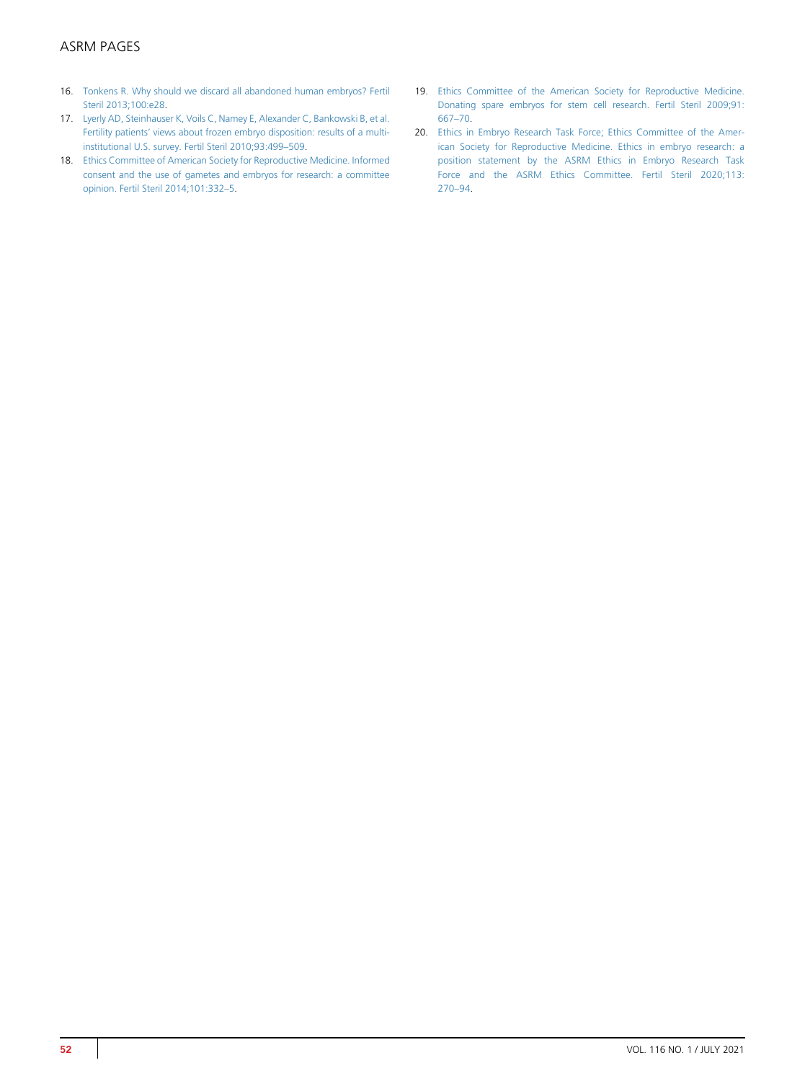# ASRM PAGES

- <span id="page-4-0"></span>16. [Tonkens R. Why should we discard all abandoned human embryos? Fertil](http://refhub.elsevier.com/S0015-0282(21)00138-2/sref16) [Steril 2013;100:e28.](http://refhub.elsevier.com/S0015-0282(21)00138-2/sref16)
- <span id="page-4-1"></span>17. [Lyerly AD, Steinhauser K, Voils C, Namey E, Alexander C, Bankowski B, et al.](http://refhub.elsevier.com/S0015-0282(21)00138-2/sref17) Fertility patients' [views about frozen embryo disposition: results of a multi](http://refhub.elsevier.com/S0015-0282(21)00138-2/sref17)[institutional U.S. survey. Fertil Steril 2010;93:499](http://refhub.elsevier.com/S0015-0282(21)00138-2/sref17)–509.
- <span id="page-4-2"></span>18. [Ethics Committee of American Society for Reproductive Medicine. Informed](http://refhub.elsevier.com/S0015-0282(21)00138-2/sref18) [consent and the use of gametes and embryos for research: a committee](http://refhub.elsevier.com/S0015-0282(21)00138-2/sref18) [opinion. Fertil Steril 2014;101:332](http://refhub.elsevier.com/S0015-0282(21)00138-2/sref18)–5.
- <span id="page-4-3"></span>19. [Ethics Committee of the American Society for Reproductive Medicine.](http://refhub.elsevier.com/S0015-0282(21)00138-2/sref19) [Donating spare embryos for stem cell research. Fertil Steril 2009;91:](http://refhub.elsevier.com/S0015-0282(21)00138-2/sref19) [667](http://refhub.elsevier.com/S0015-0282(21)00138-2/sref19)–70.
- <span id="page-4-4"></span>20. [Ethics in Embryo Research Task Force; Ethics Committee of the Amer](http://refhub.elsevier.com/S0015-0282(21)00138-2/sref20)[ican Society for Reproductive Medicine. Ethics in embryo research: a](http://refhub.elsevier.com/S0015-0282(21)00138-2/sref20) [position statement by the ASRM Ethics in Embryo Research Task](http://refhub.elsevier.com/S0015-0282(21)00138-2/sref20) [Force and the ASRM Ethics Committee. Fertil Steril 2020;113:](http://refhub.elsevier.com/S0015-0282(21)00138-2/sref20) [270](http://refhub.elsevier.com/S0015-0282(21)00138-2/sref20)–94.